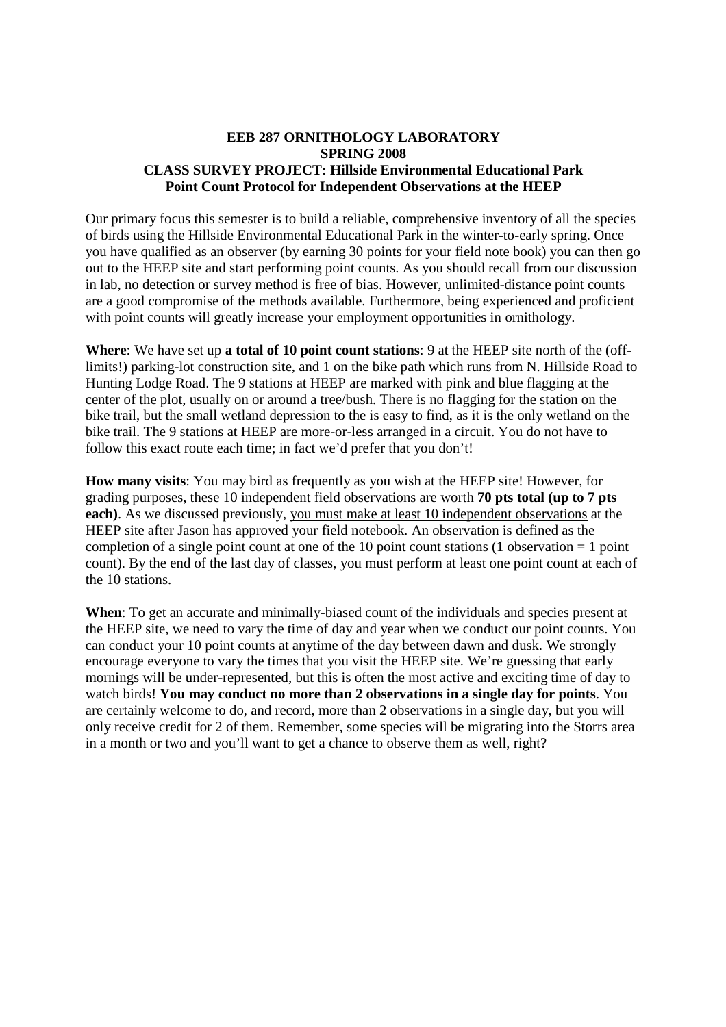## **EEB 287 ORNITHOLOGY LABORATORY SPRING 2008 CLASS SURVEY PROJECT: Hillside Environmental Educational Park Point Count Protocol for Independent Observations at the HEEP**

Our primary focus this semester is to build a reliable, comprehensive inventory of all the species of birds using the Hillside Environmental Educational Park in the winter-to-early spring. Once you have qualified as an observer (by earning 30 points for your field note book) you can then go out to the HEEP site and start performing point counts. As you should recall from our discussion in lab, no detection or survey method is free of bias. However, unlimited-distance point counts are a good compromise of the methods available. Furthermore, being experienced and proficient with point counts will greatly increase your employment opportunities in ornithology.

**Where**: We have set up **a total of 10 point count stations**: 9 at the HEEP site north of the (offlimits!) parking-lot construction site, and 1 on the bike path which runs from N. Hillside Road to Hunting Lodge Road. The 9 stations at HEEP are marked with pink and blue flagging at the center of the plot, usually on or around a tree/bush. There is no flagging for the station on the bike trail, but the small wetland depression to the is easy to find, as it is the only wetland on the bike trail. The 9 stations at HEEP are more-or-less arranged in a circuit. You do not have to follow this exact route each time; in fact we'd prefer that you don't!

**How many visits**: You may bird as frequently as you wish at the HEEP site! However, for grading purposes, these 10 independent field observations are worth **70 pts total (up to 7 pts each)**. As we discussed previously, you must make at least 10 independent observations at the HEEP site after Jason has approved your field notebook. An observation is defined as the completion of a single point count at one of the 10 point count stations (1 observation = 1 point count). By the end of the last day of classes, you must perform at least one point count at each of the 10 stations.

**When**: To get an accurate and minimally-biased count of the individuals and species present at the HEEP site, we need to vary the time of day and year when we conduct our point counts. You can conduct your 10 point counts at anytime of the day between dawn and dusk. We strongly encourage everyone to vary the times that you visit the HEEP site. We're guessing that early mornings will be under-represented, but this is often the most active and exciting time of day to watch birds! **You may conduct no more than 2 observations in a single day for points**. You are certainly welcome to do, and record, more than 2 observations in a single day, but you will only receive credit for 2 of them. Remember, some species will be migrating into the Storrs area in a month or two and you'll want to get a chance to observe them as well, right?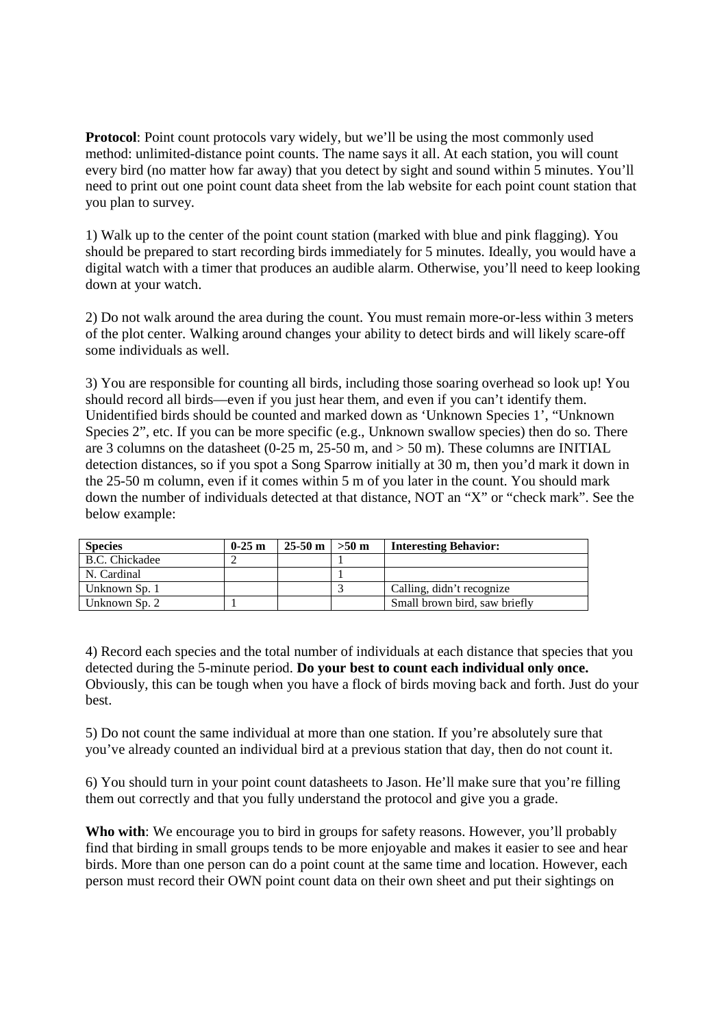**Protocol:** Point count protocols vary widely, but we'll be using the most commonly used method: unlimited-distance point counts. The name says it all. At each station, you will count every bird (no matter how far away) that you detect by sight and sound within 5 minutes. You'll need to print out one point count data sheet from the lab website for each point count station that you plan to survey.

1) Walk up to the center of the point count station (marked with blue and pink flagging). You should be prepared to start recording birds immediately for 5 minutes. Ideally, you would have a digital watch with a timer that produces an audible alarm. Otherwise, you'll need to keep looking down at your watch.

2) Do not walk around the area during the count. You must remain more-or-less within 3 meters of the plot center. Walking around changes your ability to detect birds and will likely scare-off some individuals as well.

3) You are responsible for counting all birds, including those soaring overhead so look up! You should record all birds—even if you just hear them, and even if you can't identify them. Unidentified birds should be counted and marked down as 'Unknown Species 1', "Unknown Species 2", etc. If you can be more specific (e.g., Unknown swallow species) then do so. There are 3 columns on the datasheet (0-25 m,  $25-50$  m, and  $> 50$  m). These columns are INITIAL detection distances, so if you spot a Song Sparrow initially at 30 m, then you'd mark it down in the 25-50 m column, even if it comes within 5 m of you later in the count. You should mark down the number of individuals detected at that distance, NOT an "X" or "check mark". See the below example:

| <b>Species</b> | $0-25$ m | $25-50 \text{ m}$ > $>50 \text{ m}$ | <b>Interesting Behavior:</b>  |
|----------------|----------|-------------------------------------|-------------------------------|
| B.C. Chickadee |          |                                     |                               |
| N. Cardinal    |          |                                     |                               |
| Unknown Sp. 1  |          |                                     | Calling, didn't recognize     |
| Unknown Sp. 2  |          |                                     | Small brown bird, saw briefly |

4) Record each species and the total number of individuals at each distance that species that you detected during the 5-minute period. **Do your best to count each individual only once.** Obviously, this can be tough when you have a flock of birds moving back and forth. Just do your best.

5) Do not count the same individual at more than one station. If you're absolutely sure that you've already counted an individual bird at a previous station that day, then do not count it.

6) You should turn in your point count datasheets to Jason. He'll make sure that you're filling them out correctly and that you fully understand the protocol and give you a grade.

**Who with**: We encourage you to bird in groups for safety reasons. However, you'll probably find that birding in small groups tends to be more enjoyable and makes it easier to see and hear birds. More than one person can do a point count at the same time and location. However, each person must record their OWN point count data on their own sheet and put their sightings on